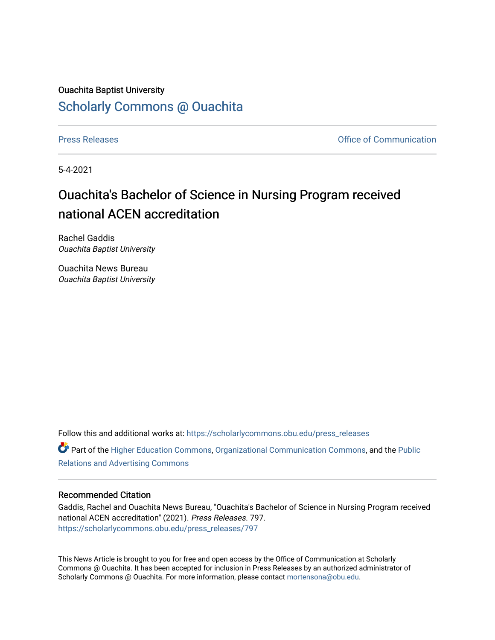## Ouachita Baptist University [Scholarly Commons @ Ouachita](https://scholarlycommons.obu.edu/)

[Press Releases](https://scholarlycommons.obu.edu/press_releases) **Press Releases Communication** 

5-4-2021

## Ouachita's Bachelor of Science in Nursing Program received national ACEN accreditation

Rachel Gaddis Ouachita Baptist University

Ouachita News Bureau Ouachita Baptist University

Follow this and additional works at: [https://scholarlycommons.obu.edu/press\\_releases](https://scholarlycommons.obu.edu/press_releases?utm_source=scholarlycommons.obu.edu%2Fpress_releases%2F797&utm_medium=PDF&utm_campaign=PDFCoverPages)

Part of the [Higher Education Commons,](http://network.bepress.com/hgg/discipline/1245?utm_source=scholarlycommons.obu.edu%2Fpress_releases%2F797&utm_medium=PDF&utm_campaign=PDFCoverPages) [Organizational Communication Commons,](http://network.bepress.com/hgg/discipline/335?utm_source=scholarlycommons.obu.edu%2Fpress_releases%2F797&utm_medium=PDF&utm_campaign=PDFCoverPages) and the [Public](http://network.bepress.com/hgg/discipline/336?utm_source=scholarlycommons.obu.edu%2Fpress_releases%2F797&utm_medium=PDF&utm_campaign=PDFCoverPages) [Relations and Advertising Commons](http://network.bepress.com/hgg/discipline/336?utm_source=scholarlycommons.obu.edu%2Fpress_releases%2F797&utm_medium=PDF&utm_campaign=PDFCoverPages) 

## Recommended Citation

Gaddis, Rachel and Ouachita News Bureau, "Ouachita's Bachelor of Science in Nursing Program received national ACEN accreditation" (2021). Press Releases. 797. [https://scholarlycommons.obu.edu/press\\_releases/797](https://scholarlycommons.obu.edu/press_releases/797?utm_source=scholarlycommons.obu.edu%2Fpress_releases%2F797&utm_medium=PDF&utm_campaign=PDFCoverPages)

This News Article is brought to you for free and open access by the Office of Communication at Scholarly Commons @ Ouachita. It has been accepted for inclusion in Press Releases by an authorized administrator of Scholarly Commons @ Ouachita. For more information, please contact [mortensona@obu.edu](mailto:mortensona@obu.edu).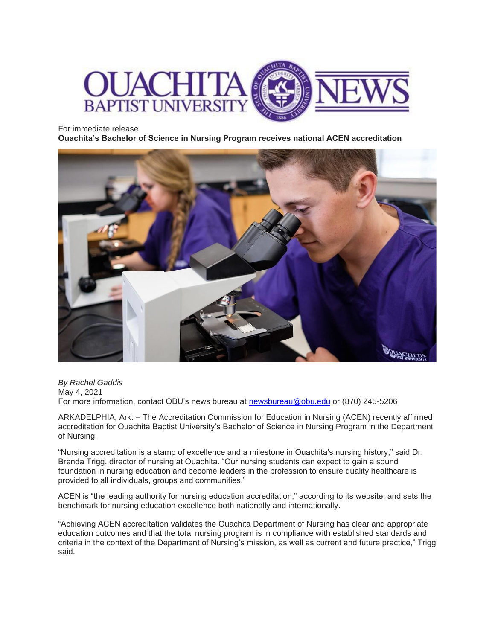

For immediate release

**Ouachita's Bachelor of Science in Nursing Program receives national ACEN accreditation**



*By Rachel Gaddis* May 4, 2021 For more information, contact OBU's news bureau at [newsbureau@obu.edu](mailto:newsbureau@obu.edu) or (870) 245-5206

ARKADELPHIA, Ark. – The Accreditation Commission for Education in Nursing (ACEN) recently affirmed accreditation for Ouachita Baptist University's Bachelor of Science in Nursing Program in the Department of Nursing.

"Nursing accreditation is a stamp of excellence and a milestone in Ouachita's nursing history," said Dr. Brenda Trigg, director of nursing at Ouachita. "Our nursing students can expect to gain a sound foundation in nursing education and become leaders in the profession to ensure quality healthcare is provided to all individuals, groups and communities."

ACEN is "the leading authority for nursing education accreditation," according to its website, and sets the benchmark for nursing education excellence both nationally and internationally.

"Achieving ACEN accreditation validates the Ouachita Department of Nursing has clear and appropriate education outcomes and that the total nursing program is in compliance with established standards and criteria in the context of the Department of Nursing's mission, as well as current and future practice," Trigg said.